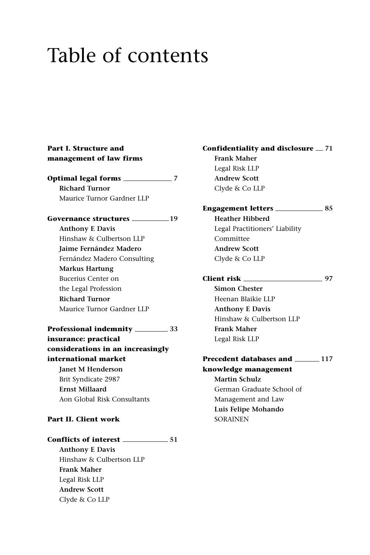# Table of contents

#### **Part I. Structure and management of law firms**

**Optimal legal forms 7 Richard Turnor** Maurice Turnor Gardner LLP

**Governance structures 19 Anthony E Davis** Hinshaw & Culbertson LLP **Jaime Fernández Madero** Fernández Madero Consulting **Markus Hartung** Bucerius Center on the Legal Profession **Richard Turnor** Maurice Turnor Gardner LLP

### **Professional indemnity 33 insurance: practical**

**considerations in an increasingly international market Janet M Henderson** Brit Syndicate 2987 **Ernst Millaard** Aon Global Risk Consultants

#### **Part II. Client work**

**Conflicts of interest 51 Anthony E Davis** Hinshaw & Culbertson LLP **Frank Maher** Legal Risk LLP **Andrew Scott** Clyde & Co LLP

**Confidentiality and disclosure 71 Frank Maher** Legal Risk LLP **Andrew Scott** Clyde & Co LLP

#### **Engagement letters 85**

**Heather Hibberd** Legal Practitioners' Liability Committee **Andrew Scott** Clyde & Co LLP

**Client risk 97**

**Simon Chester** Heenan Blaikie LLP **Anthony E Davis** Hinshaw & Culbertson LLP **Frank Maher** Legal Risk LLP

#### **Precedent databases and \_\_\_\_\_\_ 117 knowledge management**

**Martin Schulz** German Graduate School of Management and Law **Luis Felipe Mohando** SORAINEN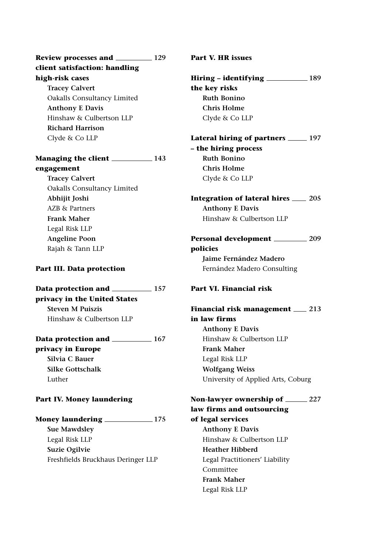**Review processes and 129 client satisfaction: handling high-risk cases Tracey Calvert**

Oakalls Consultancy Limited **Anthony E Davis** Hinshaw & Culbertson LLP **Richard Harrison** Clyde & Co LLP

## **Managing the client 143 engagement**

**Tracey Calvert** Oakalls Consultancy Limited **Abhijit Joshi** AZB & Partners **Frank Maher** Legal Risk LLP **Angeline Poon** Rajah & Tann LLP

#### **Part III. Data protection**

**Data protection and 157 privacy in the United States Steven M Puiszis** Hinshaw & Culbertson LLP

**Data protection and \_\_\_\_\_\_\_\_\_\_\_ 167 privacy in Europe Silvia C Bauer Silke Gottschalk** Luther

## **Part IV. Money laundering**

**Money laundering 175**

**Sue Mawdsley** Legal Risk LLP **Suzie Ogilvie** Freshfields Bruckhaus Deringer LLP **Part V. HR issues**

**Hiring – identifying 189 the key risks Ruth Bonino Chris Holme** Clyde & Co LLP

**Lateral hiring of partners 197 – the hiring process Ruth Bonino Chris Holme** Clyde & Co LLP

**Integration of lateral hires 205 Anthony E Davis** Hinshaw & Culbertson LLP

**Personal development 209 policies Jaime Fernández Madero** Fernández Madero Consulting

#### **Part VI. Financial risk**

**Financial risk management 213 in law firms Anthony E Davis** Hinshaw & Culbertson LLP **Frank Maher** Legal Risk LLP **Wolfgang Weiss** University of Applied Arts, Coburg

# **Non-lawyer ownership of 227 law firms and outsourcing**

**of legal services Anthony E Davis** Hinshaw & Culbertson LLP **Heather Hibberd** Legal Practitioners' Liability Committee **Frank Maher** Legal Risk LLP